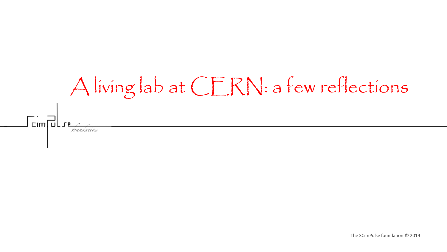# A living lab at CERN: a few reflections $\Gamma$   $\overline{\Xi}$   $\overline{\Xi}$   $\overline{\Xi}$   $\overline{\Xi}$   $\overline{\Xi}$   $\overline{\Xi}$   $\overline{\Xi}$   $\overline{\Xi}$   $\overline{\Xi}$   $\overline{\Xi}$   $\overline{\Xi}$   $\overline{\Xi}$   $\overline{\Xi}$   $\overline{\Xi}$   $\overline{\Xi}$   $\overline{\Xi}$   $\overline{\Xi}$   $\overline{\Xi}$   $\overline{\Xi}$   $\overline{\Xi}$   $\overline{\Xi}$   $\overline{\Xi}$   $\overline{\Xi}$   $\overline{\Xi}$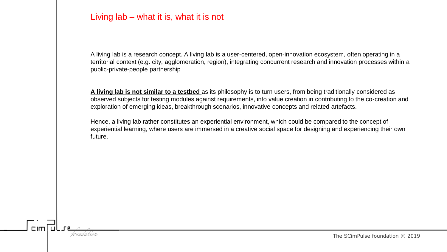## Living lab – what it is, what it is not

A living lab is a research concept. A living lab is a user-centered, open-innovation ecosystem, often operating in a territorial context (e.g. city, agglomeration, region), integrating concurrent research and innovation processes within a public-private-people partnership

**A living lab is not similar to a testbed** as its philosophy is to turn users, from being traditionally considered as observed subjects for testing modules against requirements, into value creation in contributing to the co-creation and exploration of emerging ideas, breakthrough scenarios, innovative concepts and related artefacts.

Hence, a living lab rather constitutes an experiential environment, which could be compared to the concept of experiential learning, where users are immersed in a creative social space for designing and experiencing their own future.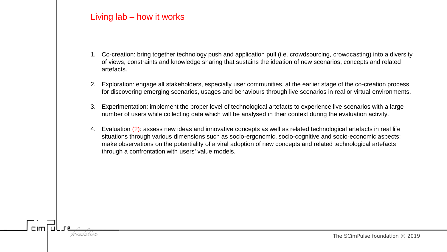## Living lab – how it works

- 1. Co-creation: bring together technology push and application pull (i.e. crowdsourcing, crowdcasting) into a diversity of views, constraints and knowledge sharing that sustains the ideation of new scenarios, concepts and related artefacts.
- 2. Exploration: engage all stakeholders, especially user communities, at the earlier stage of the co-creation process for discovering emerging scenarios, usages and behaviours through live scenarios in real or virtual environments.
- 3. Experimentation: implement the proper level of technological artefacts to experience live scenarios with a large number of users while collecting data which will be analysed in their context during the evaluation activity.
- 4. Evaluation (?): assess new ideas and innovative concepts as well as related technological artefacts in real life situations through various dimensions such as socio-ergonomic, socio-cognitive and socio-economic aspects; make observations on the potentiality of a viral adoption of new concepts and related technological artefacts through a confrontation with users' value models.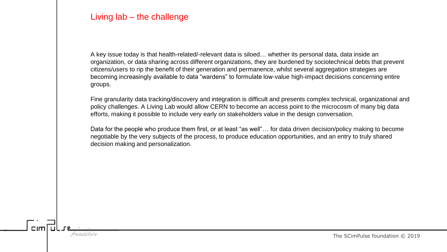## Living lab – the challenge

A key issue today is that health-related/-relevant data is siloed… whether its personal data, data inside an organization, or data sharing across different organizations, they are burdened by sociotechnical debts that prevent citizens/users to rip the benefit of their generation and permanence, whilst several aggregation strategies are becoming increasingly available to data "wardens" to formulate low-value high-impact decisions concerning entire groups.

Fine granularity data tracking/discovery and integration is difficult and presents complex technical, organizational and policy challenges. A Living Lab would allow CERN to become an access point to the microcosm of many big data efforts, making it possible to include very early on stakeholders value in the design conversation.

Data for the people who produce them first, or at least "as well"… for data driven decision/policy making to become negotiable by the very subjects of the process, to produce education opportunities, and an entry to truly shared decision making and personalization.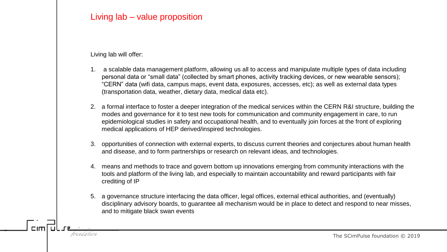## Living lab – value proposition

Living lab will offer:

- 1. a scalable data management platform, allowing us all to access and manipulate multiple types of data including personal data or "small data" (collected by smart phones, activity tracking devices, or new wearable sensors); "CERN" data (wifi data, campus maps, event data, exposures, accesses, etc); as well as external data types (transportation data, weather, dietary data, medical data etc).
- 2. a formal interface to foster a deeper integration of the medical services within the CERN R&I structure, building the modes and governance for it to test new tools for communication and community engagement in care, to run epidemiological studies in safety and occupational health, and to eventually join forces at the front of exploring medical applications of HEP derived/inspired technologies.
- 3. opportunities of connection with external experts, to discuss current theories and conjectures about human health and disease, and to form partnerships or research on relevant ideas, and technologies.
- 4. means and methods to trace and govern bottom up innovations emerging from community interactions with the tools and platform of the living lab, and especially to maintain accountability and reward participants with fair crediting of IP
- 5. a governance structure interfacing the data officer, legal offices, external ethical authorities, and (eventually) disciplinary advisory boards, to guarantee all mechanism would be in place to detect and respond to near misses, and to mitigate black swan events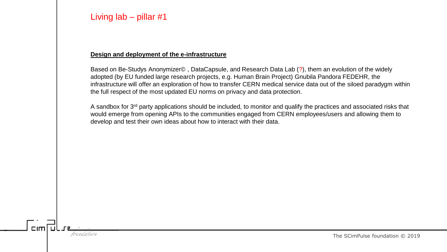#### **Design and deployment of the e-infrastructure**

Based on Be-Studys Anonymizer© , DataCapsule, and Research Data Lab (?), them an evolution of the widely adopted (by EU funded large research projects, e.g. Human Brain Project) Gnubila Pandora FEDEHR, the infrastructure will offer an exploration of how to transfer CERN medical service data out of the siloed paradygm within the full respect of the most updated EU norms on privacy and data protection.

A sandbox for 3<sup>rd</sup> party applications should be included, to monitor and qualify the practices and associated risks that would emerge from opening APIs to the communities engaged from CERN employees/users and allowing them to develop and test their own ideas about how to interact with their data.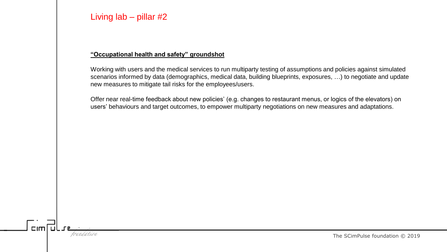#### **"Occupational health and safety" groundshot**

Working with users and the medical services to run multiparty testing of assumptions and policies against simulated scenarios informed by data (demographics, medical data, building blueprints, exposures, …) to negotiate and update new measures to mitigate tail risks for the employees/users.

Offer near real-time feedback about new policies' (e.g. changes to restaurant menus, or logics of the elevators) on users' behaviours and target outcomes, to empower multiparty negotiations on new measures and adaptations.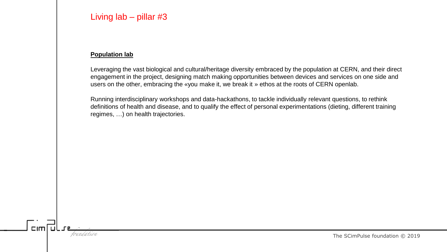#### **Population lab**

Leveraging the vast biological and cultural/heritage diversity embraced by the population at CERN, and their direct engagement in the project, designing match making opportunities between devices and services on one side and users on the other, embracing the «you make it, we break it » ethos at the roots of CERN openlab.

Running interdisciplinary workshops and data-hackathons, to tackle individually relevant questions, to rethink definitions of health and disease, and to qualify the effect of personal experimentations (dieting, different training regimes, …) on health trajectories.

 $C$ Im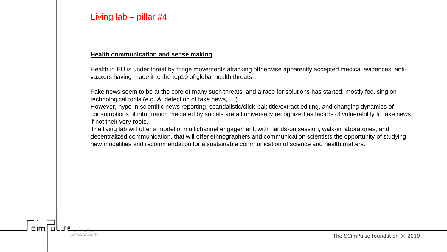$L<sub>1</sub>$ 

#### **Health communication and sense making**

Health in EU is under threat by fringe movements attacking ottherwise apparently accepted medical evidences, antivaxxers having made it to the top10 of global health threats…

Fake news seem to be at the core of many such threats, and a race for solutions has started, mostly focusing on technological tools (e.g. AI detection of fake news, …)

However, hype in scientific news reporting, scandalistic/click-bait title/extract editing, and changing dynamics of consumptions of information mediated by socials are all universally recognized as factors of vulnerability to fake news, if not their very roots.

The living lab will offer a model of multichannel engagement, with hands-on session, walk-in laboratories, and decentralized communication, that will offer ethnographers and communication scientists the opportunity of studying new modalities and recommendation for a sustainable communication of science and health matters.